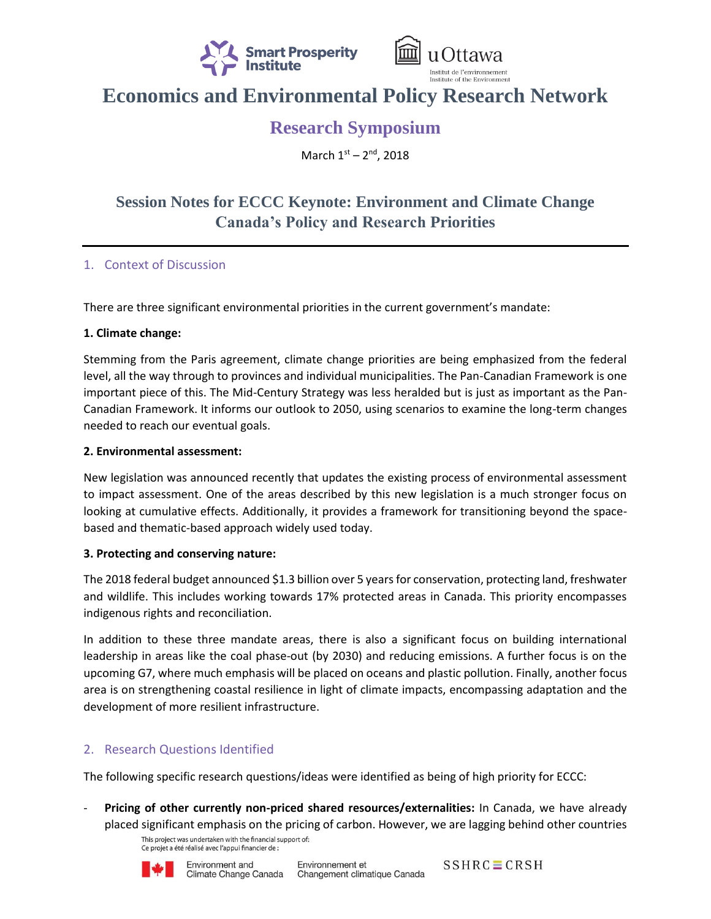



# **Economics and Environmental Policy Research Network**

# **Research Symposium**

March 1st - 2<sup>nd</sup>, 2018

## **Session Notes for ECCC Keynote: Environment and Climate Change Canada's Policy and Research Priorities**

### 1. Context of Discussion

There are three significant environmental priorities in the current government's mandate:

#### **1. Climate change:**

Stemming from the Paris agreement, climate change priorities are being emphasized from the federal level, all the way through to provinces and individual municipalities. The Pan-Canadian Framework is one important piece of this. The Mid-Century Strategy was less heralded but is just as important as the Pan-Canadian Framework. It informs our outlook to 2050, using scenarios to examine the long-term changes needed to reach our eventual goals.

#### **2. Environmental assessment:**

New legislation was announced recently that updates the existing process of environmental assessment to impact assessment. One of the areas described by this new legislation is a much stronger focus on looking at cumulative effects. Additionally, it provides a framework for transitioning beyond the spacebased and thematic-based approach widely used today.

#### **3. Protecting and conserving nature:**

The 2018 federal budget announced \$1.3 billion over 5 years for conservation, protecting land, freshwater and wildlife. This includes working towards 17% protected areas in Canada. This priority encompasses indigenous rights and reconciliation.

In addition to these three mandate areas, there is also a significant focus on building international leadership in areas like the coal phase-out (by 2030) and reducing emissions. A further focus is on the upcoming G7, where much emphasis will be placed on oceans and plastic pollution. Finally, another focus area is on strengthening coastal resilience in light of climate impacts, encompassing adaptation and the development of more resilient infrastructure.

### 2. Research Questions Identified

The following specific research questions/ideas were identified as being of high priority for ECCC:

Pricing of other currently non-priced shared resources/externalities: In Canada, we have already placed significant emphasis on the pricing of carbon. However, we are lagging behind other countries

This project was undertaken with the financial support of: Ce projet a été réalisé avec l'appui financier de :



 $SSHRC \equiv CRSH$